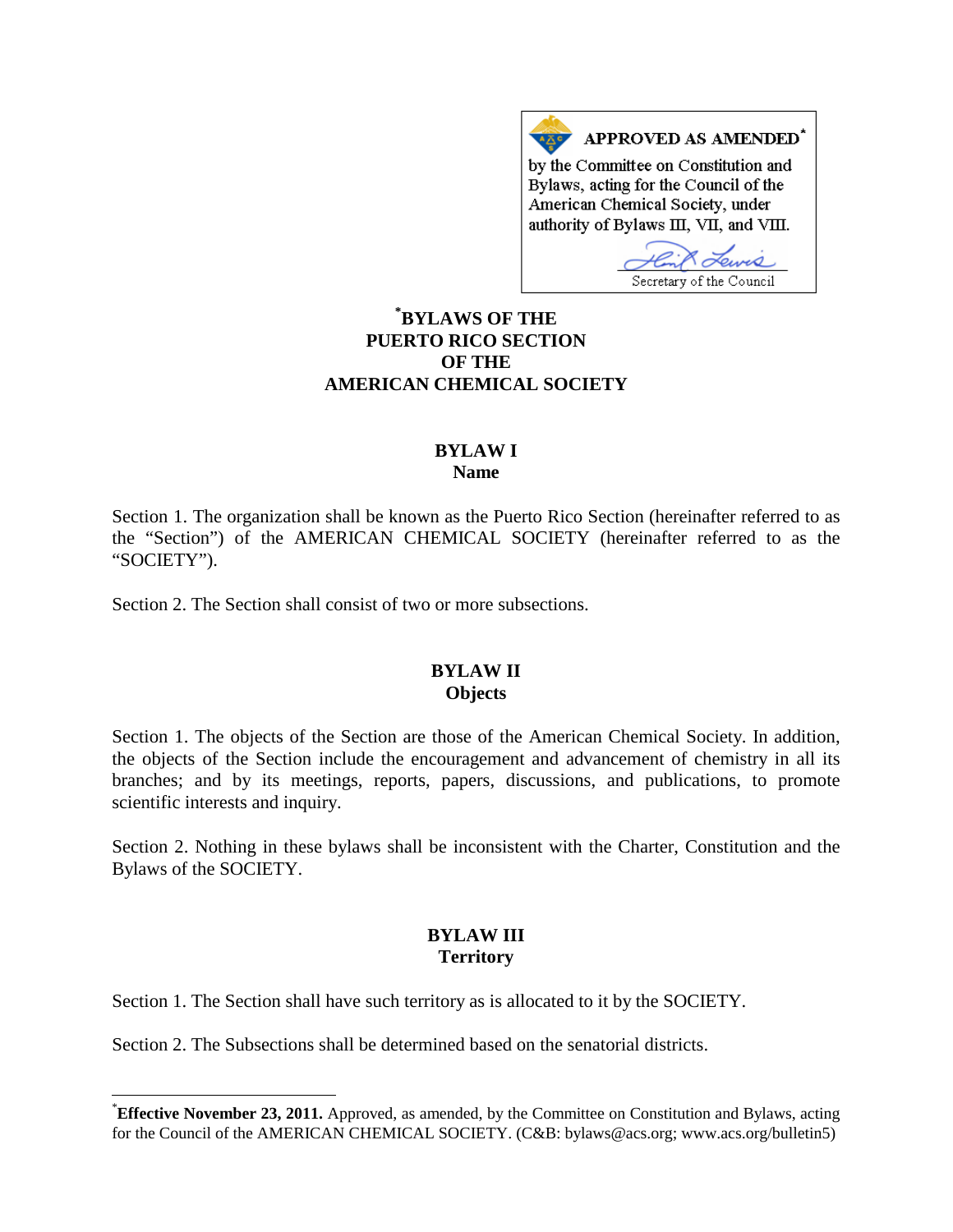APPROVED AS AMENDED\* by the Committee on Constitution and Bylaws, acting for the Council of the American Chemical Society, under authority of Bylaws III, VII, and VIII.

Secretary of the Council

## **\* BYLAWS OF THE PUERTO RICO SECTION OF THE AMERICAN CHEMICAL SOCIETY**

#### **BYLAW I Name**

Section 1. The organization shall be known as the Puerto Rico Section (hereinafter referred to as the "Section") of the AMERICAN CHEMICAL SOCIETY (hereinafter referred to as the "SOCIETY").

Section 2. The Section shall consist of two or more subsections.

#### **BYLAW II Objects**

Section 1. The objects of the Section are those of the American Chemical Society. In addition, the objects of the Section include the encouragement and advancement of chemistry in all its branches; and by its meetings, reports, papers, discussions, and publications, to promote scientific interests and inquiry.

Section 2. Nothing in these bylaws shall be inconsistent with the Charter, Constitution and the Bylaws of the SOCIETY.

## **BYLAW III Territory**

Section 1. The Section shall have such territory as is allocated to it by the SOCIETY.

Section 2. The Subsections shall be determined based on the senatorial districts.

<sup>\*</sup>**Effective November 23, 2011.** Approved, as amended, by the Committee on Constitution and Bylaws, acting for the Council of the AMERICAN CHEMICAL SOCIETY. (C&B: bylaws@acs.org; www.acs.org/bulletin5)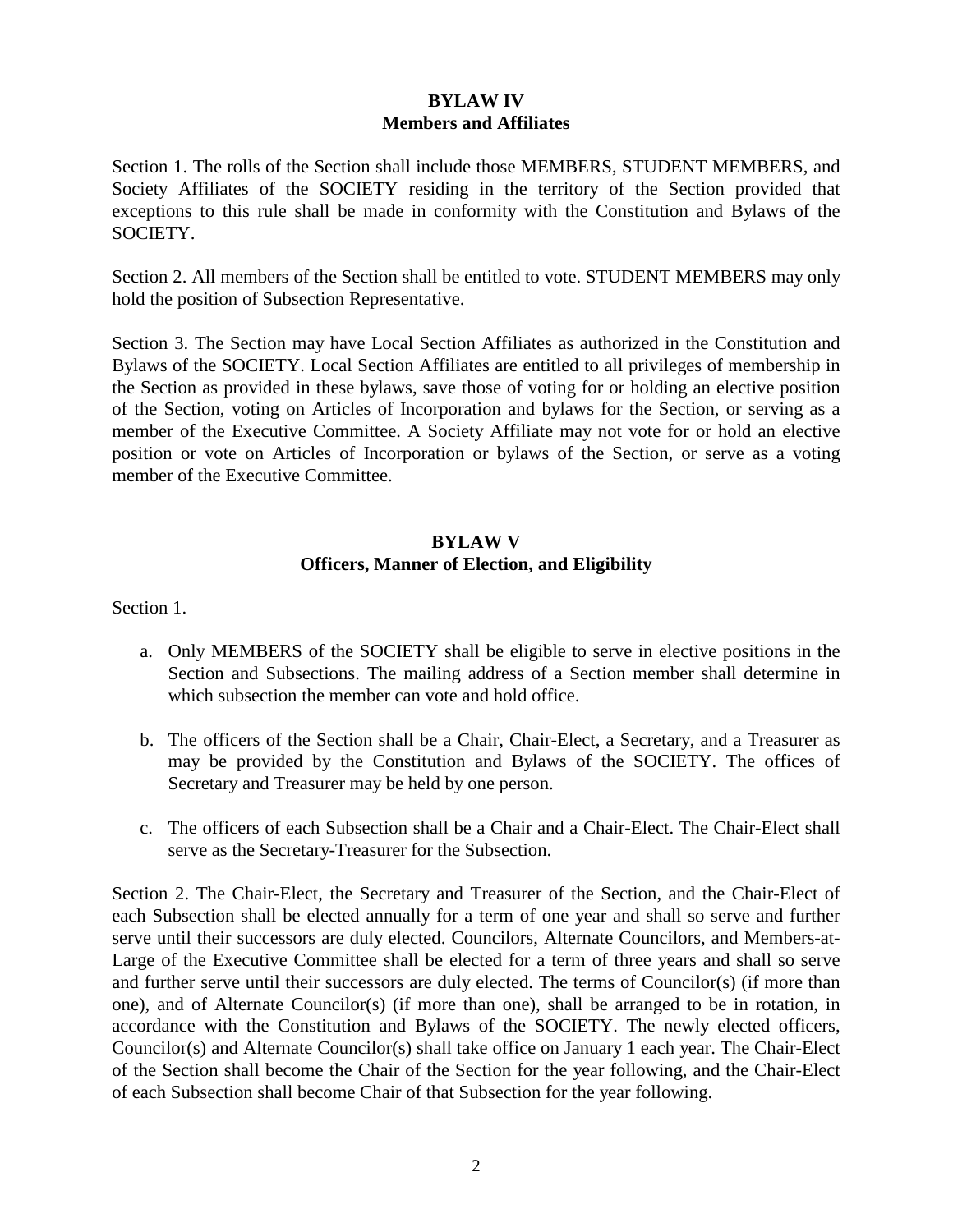## **BYLAW IV Members and Affiliates**

Section 1. The rolls of the Section shall include those MEMBERS, STUDENT MEMBERS, and Society Affiliates of the SOCIETY residing in the territory of the Section provided that exceptions to this rule shall be made in conformity with the Constitution and Bylaws of the SOCIETY.

Section 2. All members of the Section shall be entitled to vote. STUDENT MEMBERS may only hold the position of Subsection Representative.

Section 3. The Section may have Local Section Affiliates as authorized in the Constitution and Bylaws of the SOCIETY. Local Section Affiliates are entitled to all privileges of membership in the Section as provided in these bylaws, save those of voting for or holding an elective position of the Section, voting on Articles of Incorporation and bylaws for the Section, or serving as a member of the Executive Committee. A Society Affiliate may not vote for or hold an elective position or vote on Articles of Incorporation or bylaws of the Section, or serve as a voting member of the Executive Committee.

#### **BYLAW V Officers, Manner of Election, and Eligibility**

Section 1.

- a. Only MEMBERS of the SOCIETY shall be eligible to serve in elective positions in the Section and Subsections. The mailing address of a Section member shall determine in which subsection the member can vote and hold office.
- b. The officers of the Section shall be a Chair, Chair-Elect, a Secretary, and a Treasurer as may be provided by the Constitution and Bylaws of the SOCIETY. The offices of Secretary and Treasurer may be held by one person.
- c. The officers of each Subsection shall be a Chair and a Chair-Elect. The Chair-Elect shall serve as the Secretary-Treasurer for the Subsection.

Section 2. The Chair-Elect, the Secretary and Treasurer of the Section, and the Chair-Elect of each Subsection shall be elected annually for a term of one year and shall so serve and further serve until their successors are duly elected. Councilors, Alternate Councilors, and Members-at-Large of the Executive Committee shall be elected for a term of three years and shall so serve and further serve until their successors are duly elected. The terms of Councilor(s) (if more than one), and of Alternate Councilor(s) (if more than one), shall be arranged to be in rotation, in accordance with the Constitution and Bylaws of the SOCIETY. The newly elected officers, Councilor(s) and Alternate Councilor(s) shall take office on January 1 each year. The Chair-Elect of the Section shall become the Chair of the Section for the year following, and the Chair-Elect of each Subsection shall become Chair of that Subsection for the year following.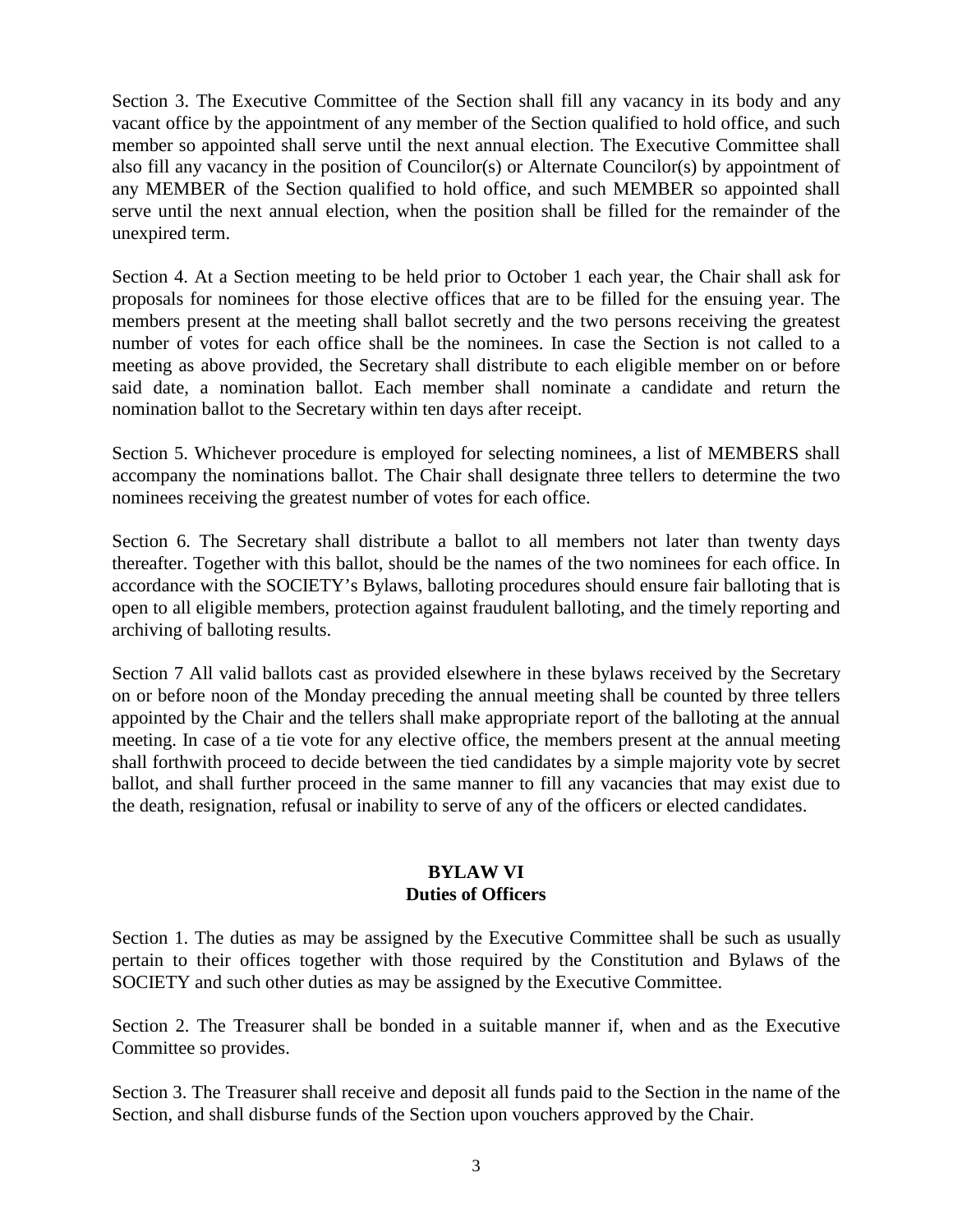Section 3. The Executive Committee of the Section shall fill any vacancy in its body and any vacant office by the appointment of any member of the Section qualified to hold office, and such member so appointed shall serve until the next annual election. The Executive Committee shall also fill any vacancy in the position of Councilor(s) or Alternate Councilor(s) by appointment of any MEMBER of the Section qualified to hold office, and such MEMBER so appointed shall serve until the next annual election, when the position shall be filled for the remainder of the unexpired term.

Section 4. At a Section meeting to be held prior to October 1 each year, the Chair shall ask for proposals for nominees for those elective offices that are to be filled for the ensuing year. The members present at the meeting shall ballot secretly and the two persons receiving the greatest number of votes for each office shall be the nominees. In case the Section is not called to a meeting as above provided, the Secretary shall distribute to each eligible member on or before said date, a nomination ballot. Each member shall nominate a candidate and return the nomination ballot to the Secretary within ten days after receipt.

Section 5. Whichever procedure is employed for selecting nominees, a list of MEMBERS shall accompany the nominations ballot. The Chair shall designate three tellers to determine the two nominees receiving the greatest number of votes for each office.

Section 6. The Secretary shall distribute a ballot to all members not later than twenty days thereafter. Together with this ballot, should be the names of the two nominees for each office. In accordance with the SOCIETY's Bylaws, balloting procedures should ensure fair balloting that is open to all eligible members, protection against fraudulent balloting, and the timely reporting and archiving of balloting results.

Section 7 All valid ballots cast as provided elsewhere in these bylaws received by the Secretary on or before noon of the Monday preceding the annual meeting shall be counted by three tellers appointed by the Chair and the tellers shall make appropriate report of the balloting at the annual meeting. In case of a tie vote for any elective office, the members present at the annual meeting shall forthwith proceed to decide between the tied candidates by a simple majority vote by secret ballot, and shall further proceed in the same manner to fill any vacancies that may exist due to the death, resignation, refusal or inability to serve of any of the officers or elected candidates.

## **BYLAW VI Duties of Officers**

Section 1. The duties as may be assigned by the Executive Committee shall be such as usually pertain to their offices together with those required by the Constitution and Bylaws of the SOCIETY and such other duties as may be assigned by the Executive Committee.

Section 2. The Treasurer shall be bonded in a suitable manner if, when and as the Executive Committee so provides.

Section 3. The Treasurer shall receive and deposit all funds paid to the Section in the name of the Section, and shall disburse funds of the Section upon vouchers approved by the Chair.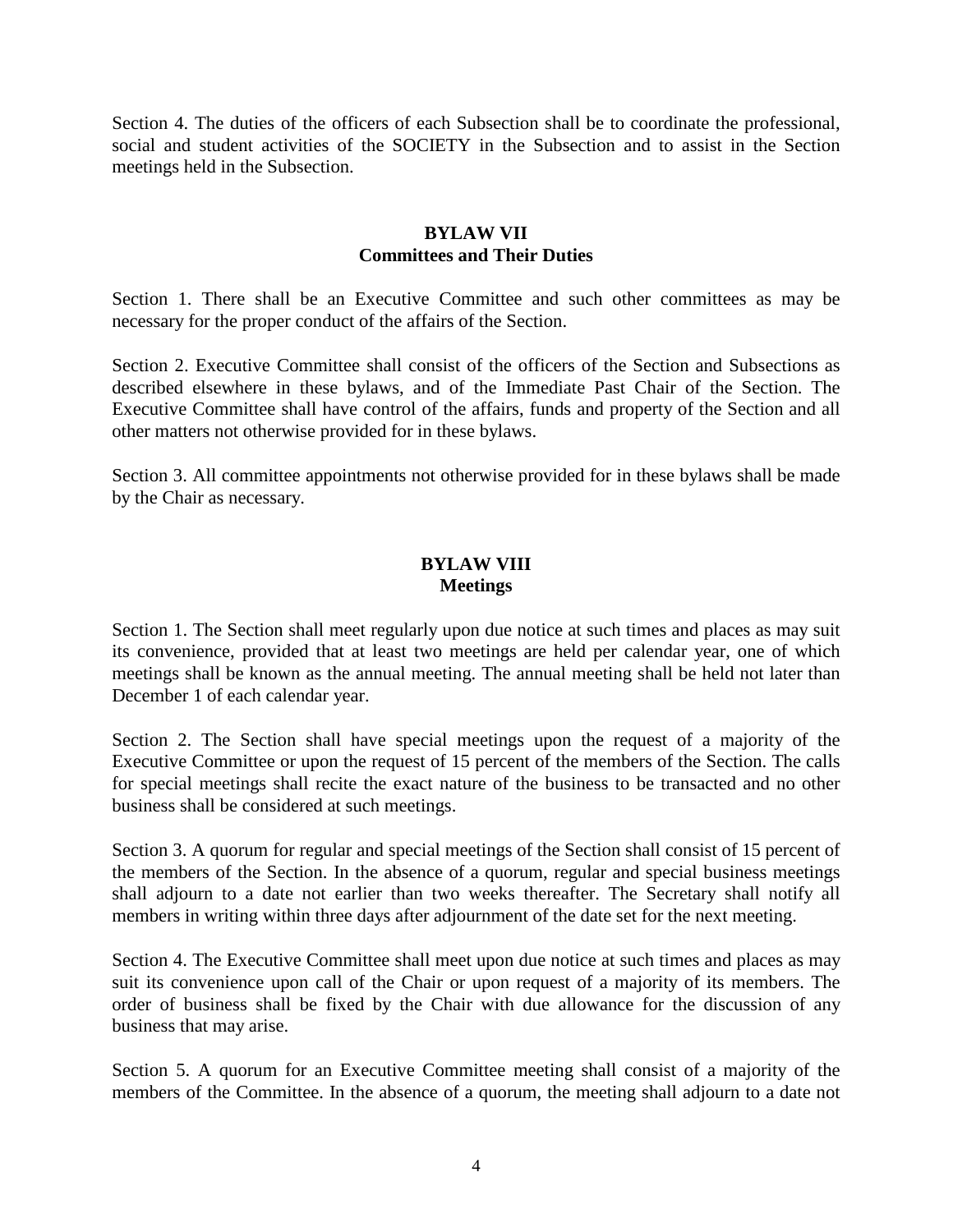Section 4. The duties of the officers of each Subsection shall be to coordinate the professional, social and student activities of the SOCIETY in the Subsection and to assist in the Section meetings held in the Subsection.

#### **BYLAW VII Committees and Their Duties**

Section 1. There shall be an Executive Committee and such other committees as may be necessary for the proper conduct of the affairs of the Section.

Section 2. Executive Committee shall consist of the officers of the Section and Subsections as described elsewhere in these bylaws, and of the Immediate Past Chair of the Section. The Executive Committee shall have control of the affairs, funds and property of the Section and all other matters not otherwise provided for in these bylaws.

Section 3. All committee appointments not otherwise provided for in these bylaws shall be made by the Chair as necessary.

#### **BYLAW VIII Meetings**

Section 1. The Section shall meet regularly upon due notice at such times and places as may suit its convenience, provided that at least two meetings are held per calendar year, one of which meetings shall be known as the annual meeting. The annual meeting shall be held not later than December 1 of each calendar year.

Section 2. The Section shall have special meetings upon the request of a majority of the Executive Committee or upon the request of 15 percent of the members of the Section. The calls for special meetings shall recite the exact nature of the business to be transacted and no other business shall be considered at such meetings.

Section 3. A quorum for regular and special meetings of the Section shall consist of 15 percent of the members of the Section. In the absence of a quorum, regular and special business meetings shall adjourn to a date not earlier than two weeks thereafter. The Secretary shall notify all members in writing within three days after adjournment of the date set for the next meeting.

Section 4. The Executive Committee shall meet upon due notice at such times and places as may suit its convenience upon call of the Chair or upon request of a majority of its members. The order of business shall be fixed by the Chair with due allowance for the discussion of any business that may arise.

Section 5. A quorum for an Executive Committee meeting shall consist of a majority of the members of the Committee. In the absence of a quorum, the meeting shall adjourn to a date not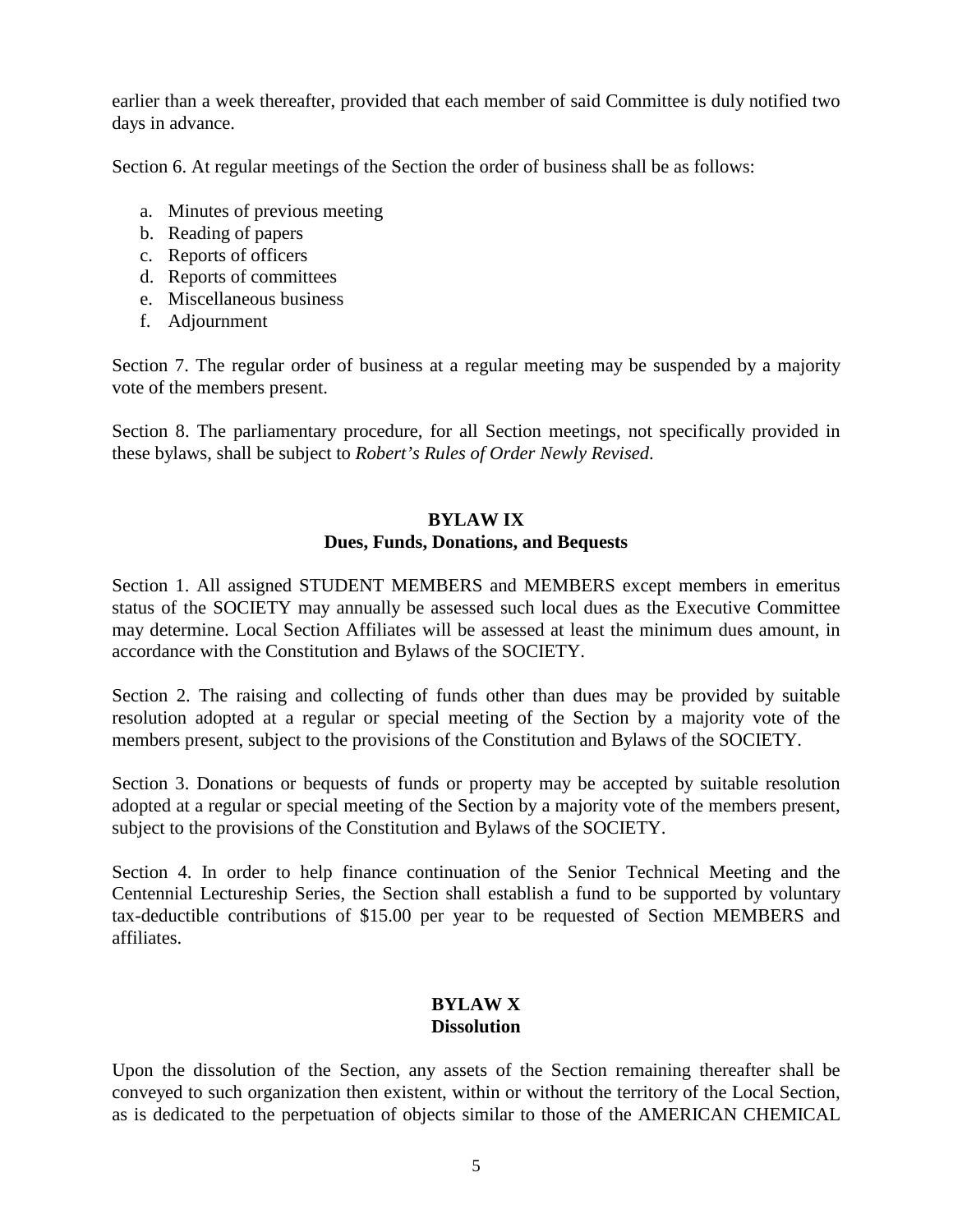earlier than a week thereafter, provided that each member of said Committee is duly notified two days in advance.

Section 6. At regular meetings of the Section the order of business shall be as follows:

- a. Minutes of previous meeting
- b. Reading of papers
- c. Reports of officers
- d. Reports of committees
- e. Miscellaneous business
- f. Adjournment

Section 7. The regular order of business at a regular meeting may be suspended by a majority vote of the members present.

Section 8. The parliamentary procedure, for all Section meetings, not specifically provided in these bylaws, shall be subject to *Robert's Rules of Order Newly Revised*.

# **BYLAW IX Dues, Funds, Donations, and Bequests**

Section 1. All assigned STUDENT MEMBERS and MEMBERS except members in emeritus status of the SOCIETY may annually be assessed such local dues as the Executive Committee may determine. Local Section Affiliates will be assessed at least the minimum dues amount, in accordance with the Constitution and Bylaws of the SOCIETY.

Section 2. The raising and collecting of funds other than dues may be provided by suitable resolution adopted at a regular or special meeting of the Section by a majority vote of the members present, subject to the provisions of the Constitution and Bylaws of the SOCIETY.

Section 3. Donations or bequests of funds or property may be accepted by suitable resolution adopted at a regular or special meeting of the Section by a majority vote of the members present, subject to the provisions of the Constitution and Bylaws of the SOCIETY.

Section 4. In order to help finance continuation of the Senior Technical Meeting and the Centennial Lectureship Series, the Section shall establish a fund to be supported by voluntary tax-deductible contributions of \$15.00 per year to be requested of Section MEMBERS and affiliates.

## **BYLAW X Dissolution**

Upon the dissolution of the Section, any assets of the Section remaining thereafter shall be conveyed to such organization then existent, within or without the territory of the Local Section, as is dedicated to the perpetuation of objects similar to those of the AMERICAN CHEMICAL